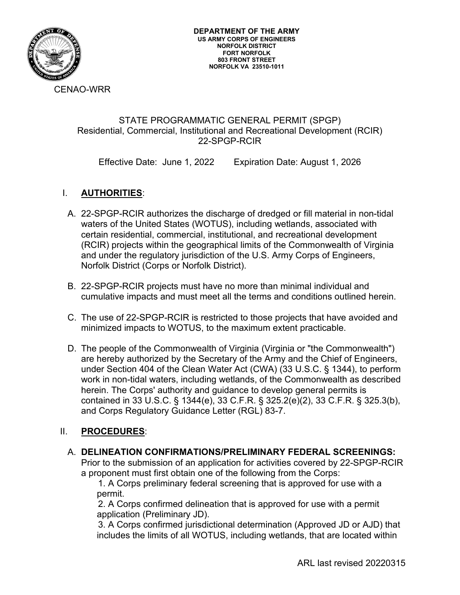

CENAO-WRR

#### STATE PROGRAMMATIC GENERAL PERMIT (SPGP) Residential, Commercial, Institutional and Recreational Development (RCIR) 22-SPGP-RCIR

Effective Date: June 1, 2022 Expiration Date: August 1, 2026

## I. **AUTHORITIES**:

- A. 22-SPGP-RCIR authorizes the discharge of dredged or fill material in non-tidal waters of the United States (WOTUS), including wetlands, associated with certain residential, commercial, institutional, and recreational development (RCIR) projects within the geographical limits of the Commonwealth of Virginia and under the regulatory jurisdiction of the U.S. Army Corps of Engineers, Norfolk District (Corps or Norfolk District).
- B. 22-SPGP-RCIR projects must have no more than minimal individual and cumulative impacts and must meet all the terms and conditions outlined herein.
- C. The use of 22-SPGP-RCIR is restricted to those projects that have avoided and minimized impacts to WOTUS, to the maximum extent practicable.
- D. The people of the Commonwealth of Virginia (Virginia or "the Commonwealth") are hereby authorized by the Secretary of the Army and the Chief of Engineers, under Section 404 of the Clean Water Act (CWA) (33 U.S.C. § 1344), to perform work in non-tidal waters, including wetlands, of the Commonwealth as described herein. The Corps' authority and guidance to develop general permits is contained in 33 U.S.C. § 1344(e), 33 C.F.R. § 325.2(e)(2), 33 C.F.R. § 325.3(b), and Corps Regulatory Guidance Letter (RGL) 83-7.

## II. **PROCEDURES**:

## A. **DELINEATION CONFIRMATIONS/PRELIMINARY FEDERAL SCREENINGS:**

Prior to the submission of an application for activities covered by 22-SPGP-RCIR a proponent must first obtain one of the following from the Corps:

1. A Corps preliminary federal screening that is approved for use with a permit.

2. A Corps confirmed delineation that is approved for use with a permit application (Preliminary JD).

3. A Corps confirmed jurisdictional determination (Approved JD or AJD) that includes the limits of all WOTUS, including wetlands, that are located within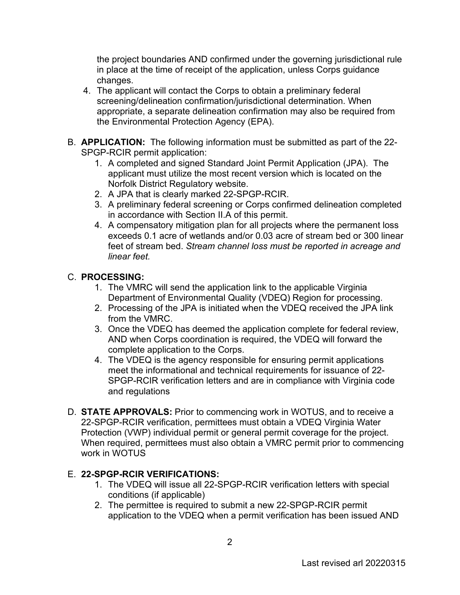the project boundaries AND confirmed under the governing jurisdictional rule in place at the time of receipt of the application, unless Corps guidance changes.

- 4. The applicant will contact the Corps to obtain a preliminary federal screening/delineation confirmation/jurisdictional determination. When appropriate, a separate delineation confirmation may also be required from the Environmental Protection Agency (EPA).
- B. **APPLICATION:** The following information must be submitted as part of the 22- SPGP-RCIR permit application:
	- 1. A completed and signed Standard Joint Permit Application (JPA). The applicant must utilize the most recent version which is located on the Norfolk District Regulatory website.
	- 2. A JPA that is clearly marked 22-SPGP-RCIR.
	- 3. A preliminary federal screening or Corps confirmed delineation completed in accordance with Section II.A of this permit.
	- 4. A compensatory mitigation plan for all projects where the permanent loss exceeds 0.1 acre of wetlands and/or 0.03 acre of stream bed or 300 linear feet of stream bed. *Stream channel loss must be reported in acreage and linear feet.*

# C. **PROCESSING:**

- 1. The VMRC will send the application link to the applicable Virginia Department of Environmental Quality (VDEQ) Region for processing.
- 2. Processing of the JPA is initiated when the VDEQ received the JPA link from the VMRC.
- 3. Once the VDEQ has deemed the application complete for federal review, AND when Corps coordination is required, the VDEQ will forward the complete application to the Corps.
- 4. The VDEQ is the agency responsible for ensuring permit applications meet the informational and technical requirements for issuance of 22- SPGP-RCIR verification letters and are in compliance with Virginia code and regulations
- D. **STATE APPROVALS:** Prior to commencing work in WOTUS, and to receive a 22-SPGP-RCIR verification, permittees must obtain a VDEQ Virginia Water Protection (VWP) individual permit or general permit coverage for the project. When required, permittees must also obtain a VMRC permit prior to commencing work in WOTUS

## E. **22-SPGP-RCIR VERIFICATIONS:**

- 1. The VDEQ will issue all 22-SPGP-RCIR verification letters with special conditions (if applicable)
- 2. The permittee is required to submit a new 22-SPGP-RCIR permit application to the VDEQ when a permit verification has been issued AND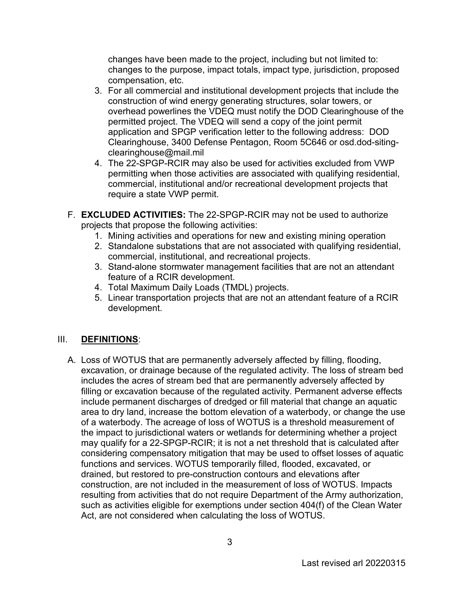changes have been made to the project, including but not limited to: changes to the purpose, impact totals, impact type, jurisdiction, proposed compensation, etc.

- 3. For all commercial and institutional development projects that include the construction of wind energy generating structures, solar towers, or overhead powerlines the VDEQ must notify the DOD Clearinghouse of the permitted project. The VDEQ will send a copy of the joint permit application and SPGP verification letter to the following address: [DOD](mailto:DoD)  Clearinghouse, 3400 Defense Pentagon, Room 5C646 or osd.dod-siting[clearinghouse@mail.mil](mailto:clearinghouse@mail.mil)
- 4. The 22-SPGP-RCIR may also be used for activities excluded from VWP permitting when those activities are associated with qualifying residential, commercial, institutional and/or recreational development projects that require a state VWP permit.
- F. **EXCLUDED ACTIVITIES:** The 22-SPGP-RCIR may not be used to authorize projects that propose the following activities:
	- 1. Mining activities and operations for new and existing mining operation
	- 2. Standalone substations that are not associated with qualifying residential, commercial, institutional, and recreational projects.
	- 3. Stand-alone stormwater management facilities that are not an attendant feature of a RCIR development.
	- 4. Total Maximum Daily Loads (TMDL) projects.
	- 5. Linear transportation projects that are not an attendant feature of a RCIR development.

## III. **DEFINITIONS**:

A. Loss of WOTUS that are permanently adversely affected by filling, flooding, excavation, or drainage because of the regulated activity. The loss of stream bed includes the acres of stream bed that are permanently adversely affected by filling or excavation because of the regulated activity. Permanent adverse effects include permanent discharges of dredged or fill material that change an aquatic area to dry land, increase the bottom elevation of a waterbody, or change the use of a waterbody. The acreage of loss of WOTUS is a threshold measurement of the impact to jurisdictional waters or wetlands for determining whether a project may qualify for a 22-SPGP-RCIR; it is not a net threshold that is calculated after considering compensatory mitigation that may be used to offset losses of aquatic functions and services. WOTUS temporarily filled, flooded, excavated, or drained, but restored to pre-construction contours and elevations after construction, are not included in the measurement of loss of WOTUS. Impacts resulting from activities that do not require Department of the Army authorization, such as activities eligible for exemptions under section 404(f) of the Clean Water Act, are not considered when calculating the loss of WOTUS.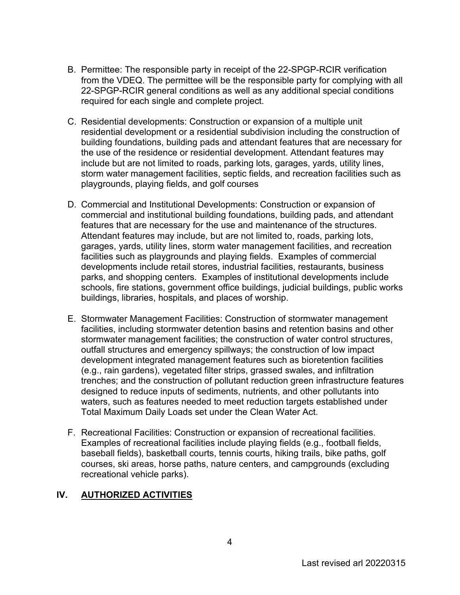- B. Permittee: The responsible party in receipt of the 22-SPGP-RCIR verification from the VDEQ. The permittee will be the responsible party for complying with all 22-SPGP-RCIR general conditions as well as any additional special conditions required for each single and complete project.
- C. Residential developments: Construction or expansion of a multiple unit residential development or a residential subdivision including the construction of building foundations, building pads and attendant features that are necessary for the use of the residence or residential development. Attendant features may include but are not limited to roads, parking lots, garages, yards, utility lines, storm water management facilities, septic fields, and recreation facilities such as playgrounds, playing fields, and golf courses
- D. Commercial and Institutional Developments: Construction or expansion of commercial and institutional building foundations, building pads, and attendant features that are necessary for the use and maintenance of the structures. Attendant features may include, but are not limited to, roads, parking lots, garages, yards, utility lines, storm water management facilities, and recreation facilities such as playgrounds and playing fields. Examples of commercial developments include retail stores, industrial facilities, restaurants, business parks, and shopping centers. Examples of institutional developments include schools, fire stations, government office buildings, judicial buildings, public works buildings, libraries, hospitals, and places of worship.
- E. Stormwater Management Facilities: Construction of stormwater management facilities, including stormwater detention basins and retention basins and other stormwater management facilities; the construction of water control structures, outfall structures and emergency spillways; the construction of low impact development integrated management features such as bioretention facilities (e.g., rain gardens), vegetated filter strips, grassed swales, and infiltration trenches; and the construction of pollutant reduction green infrastructure features designed to reduce inputs of sediments, nutrients, and other pollutants into waters, such as features needed to meet reduction targets established under Total Maximum Daily Loads set under the Clean Water Act.
- F. Recreational Facilities: Construction or expansion of recreational facilities. Examples of recreational facilities include playing fields (e.g., football fields, baseball fields), basketball courts, tennis courts, hiking trails, bike paths, golf courses, ski areas, horse paths, nature centers, and campgrounds (excluding recreational vehicle parks).

## **IV. AUTHORIZED ACTIVITIES**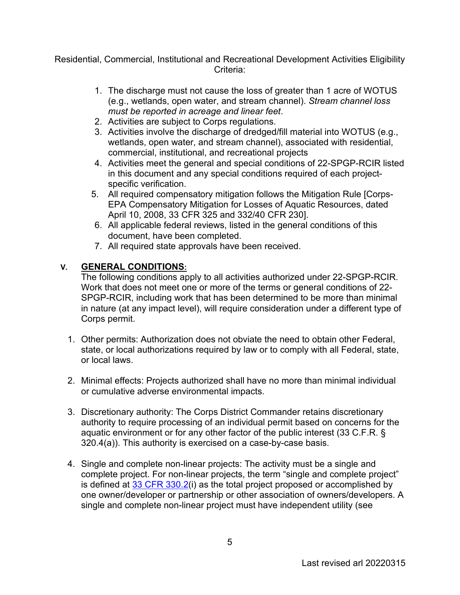Residential, Commercial, Institutional and Recreational Development Activities Eligibility Criteria:

- 1. The discharge must not cause the loss of greater than 1 acre of WOTUS (e.g., wetlands, open water, and stream channel). *Stream channel loss must be reported in acreage and linear feet*.
- 2. Activities are subject to Corps regulations.
- 3. Activities involve the discharge of dredged/fill material into WOTUS (e.g., wetlands, open water, and stream channel), associated with residential, commercial, institutional, and recreational projects
- 4. Activities meet the general and special conditions of 22-SPGP-RCIR listed in this document and any special conditions required of each projectspecific verification.
- 5. All required compensatory mitigation follows the Mitigation Rule [Corps-EPA Compensatory Mitigation for Losses of Aquatic Resources, dated April 10, 2008, 33 CFR 325 and 332/40 CFR 230].
- 6. All applicable federal reviews, listed in the general conditions of this document, have been completed.
- 7. All required state approvals have been received.

# **V. GENERAL CONDITIONS:**

The following conditions apply to all activities authorized under 22-SPGP-RCIR. Work that does not meet one or more of the terms or general conditions of 22- SPGP-RCIR, including work that has been determined to be more than minimal in nature (at any impact level), will require consideration under a different type of Corps permit.

- 1. Other permits: Authorization does not obviate the need to obtain other Federal, state, or local authorizations required by law or to comply with all Federal, state, or local laws.
- 2. Minimal effects: Projects authorized shall have no more than minimal individual or cumulative adverse environmental impacts.
- 3. Discretionary authority: The Corps District Commander retains discretionary authority to require processing of an individual permit based on concerns for the aquatic environment or for any other factor of the public interest (33 C.F.R. § 320.4(a)). This authority is exercised on a case-by-case basis.
- 4. Single and complete non-linear projects: The activity must be a single and complete project. For non-linear projects, the term "single and complete project" is defined at [33 CFR 330.2\(](https://www.federalregister.gov/select-citation/2021/01/13/33-CFR-330.2)i) as the total project proposed or accomplished by one owner/developer or partnership or other association of owners/developers. A single and complete non-linear project must have independent utility (see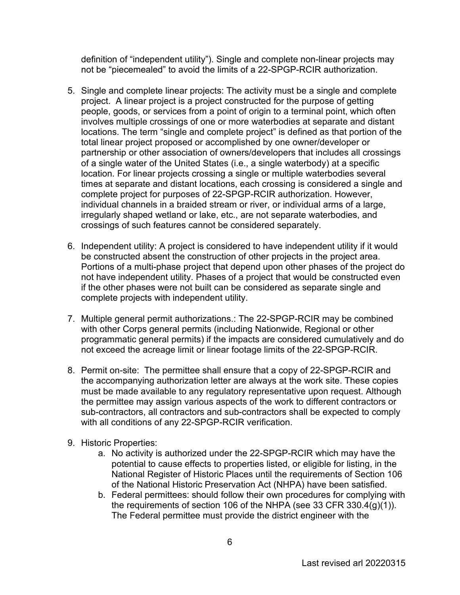definition of "independent utility"). Single and complete non-linear projects may not be "piecemealed" to avoid the limits of a 22-SPGP-RCIR authorization.

- 5. Single and complete linear projects: The activity must be a single and complete project. A linear project is a project constructed for the purpose of getting people, goods, or services from a point of origin to a terminal point, which often involves multiple crossings of one or more waterbodies at separate and distant locations. The term "single and complete project" is defined as that portion of the total linear project proposed or accomplished by one owner/developer or partnership or other association of owners/developers that includes all crossings of a single water of the United States (i.e., a single waterbody) at a specific location. For linear projects crossing a single or multiple waterbodies several times at separate and distant locations, each crossing is considered a single and complete project for purposes of 22-SPGP-RCIR authorization. However, individual channels in a braided stream or river, or individual arms of a large, irregularly shaped wetland or lake, etc., are not separate waterbodies, and crossings of such features cannot be considered separately.
- 6. Independent utility: A project is considered to have independent utility if it would be constructed absent the construction of other projects in the project area. Portions of a multi-phase project that depend upon other phases of the project do not have independent utility. Phases of a project that would be constructed even if the other phases were not built can be considered as separate single and complete projects with independent utility.
- 7. Multiple general permit authorizations.: The 22-SPGP-RCIR may be combined with other Corps general permits (including Nationwide, Regional or other programmatic general permits) if the impacts are considered cumulatively and do not exceed the acreage limit or linear footage limits of the 22-SPGP-RCIR.
- 8. Permit on-site: The permittee shall ensure that a copy of 22-SPGP-RCIR and the accompanying authorization letter are always at the work site. These copies must be made available to any regulatory representative upon request. Although the permittee may assign various aspects of the work to different contractors or sub-contractors, all contractors and sub-contractors shall be expected to comply with all conditions of any 22-SPGP-RCIR verification.
- 9. Historic Properties:
	- a. No activity is authorized under the 22-SPGP-RCIR which may have the potential to cause effects to properties listed, or eligible for listing, in the National Register of Historic Places until the requirements of Section 106 of the National Historic Preservation Act (NHPA) have been satisfied.
	- b. Federal permittees: should follow their own procedures for complying with the requirements of section 106 of the NHPA (see 33 CFR 330.4 $(q)(1)$ ). The Federal permittee must provide the district engineer with the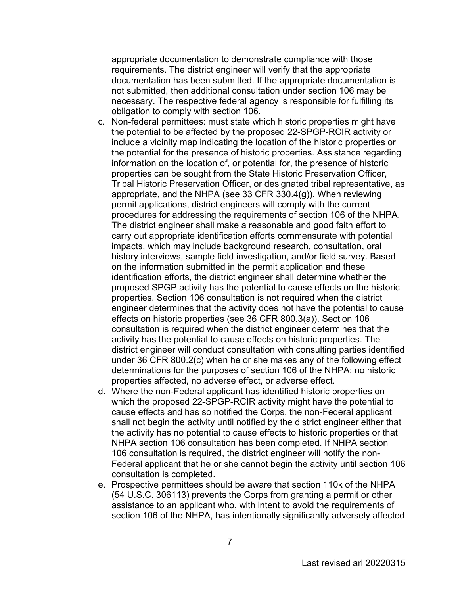appropriate documentation to demonstrate compliance with those requirements. The district engineer will verify that the appropriate documentation has been submitted. If the appropriate documentation is not submitted, then additional consultation under section 106 may be necessary. The respective federal agency is responsible for fulfilling its obligation to comply with section 106.

- c. Non-federal permittees: must state which historic properties might have the potential to be affected by the proposed 22-SPGP-RCIR activity or include a vicinity map indicating the location of the historic properties or the potential for the presence of historic properties. Assistance regarding information on the location of, or potential for, the presence of historic properties can be sought from the State Historic Preservation Officer, Tribal Historic Preservation Officer, or designated tribal representative, as appropriate, and the NHPA (see 33 CFR 330.4(g)). When reviewing permit applications, district engineers will comply with the current procedures for addressing the requirements of section 106 of the NHPA. The district engineer shall make a reasonable and good faith effort to carry out appropriate identification efforts commensurate with potential impacts, which may include background research, consultation, oral history interviews, sample field investigation, and/or field survey. Based on the information submitted in the permit application and these identification efforts, the district engineer shall determine whether the proposed SPGP activity has the potential to cause effects on the historic properties. Section 106 consultation is not required when the district engineer determines that the activity does not have the potential to cause effects on historic properties (see 36 CFR 800.3(a)). Section 106 consultation is required when the district engineer determines that the activity has the potential to cause effects on historic properties. The district engineer will conduct consultation with consulting parties identified under 36 CFR 800.2(c) when he or she makes any of the following effect determinations for the purposes of section 106 of the NHPA: no historic properties affected, no adverse effect, or adverse effect.
- d. Where the non-Federal applicant has identified historic properties on which the proposed 22-SPGP-RCIR activity might have the potential to cause effects and has so notified the Corps, the non-Federal applicant shall not begin the activity until notified by the district engineer either that the activity has no potential to cause effects to historic properties or that NHPA section 106 consultation has been completed. If NHPA section 106 consultation is required, the district engineer will notify the non-Federal applicant that he or she cannot begin the activity until section 106 consultation is completed.
- e. Prospective permittees should be aware that section 110k of the NHPA (54 U.S.C. 306113) prevents the Corps from granting a permit or other assistance to an applicant who, with intent to avoid the requirements of section 106 of the NHPA, has intentionally significantly adversely affected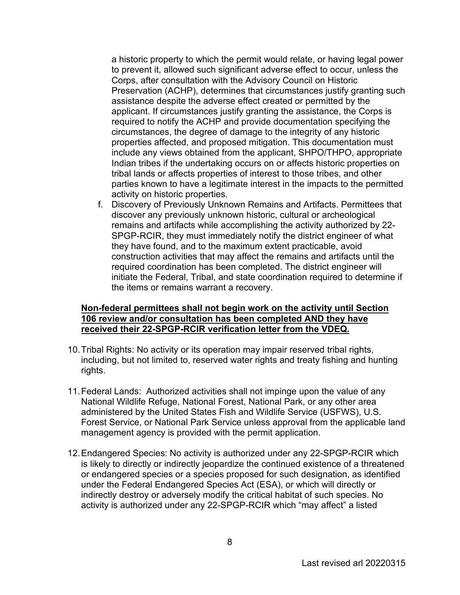a historic property to which the permit would relate, or having legal power to prevent it, allowed such significant adverse effect to occur, unless the Corps, after consultation with the Advisory Council on Historic Preservation (ACHP), determines that circumstances justify granting such assistance despite the adverse effect created or permitted by the applicant. If circumstances justify granting the assistance, the Corps is required to notify the ACHP and provide documentation specifying the circumstances, the degree of damage to the integrity of any historic properties affected, and proposed mitigation. This documentation must include any views obtained from the applicant, SHPO/THPO, appropriate Indian tribes if the undertaking occurs on or affects historic properties on tribal lands or affects properties of interest to those tribes, and other parties known to have a legitimate interest in the impacts to the permitted activity on historic properties.

f. Discovery of Previously Unknown Remains and Artifacts. Permittees that discover any previously unknown historic, cultural or archeological remains and artifacts while accomplishing the activity authorized by 22- SPGP-RCIR, they must immediately notify the district engineer of what they have found, and to the maximum extent practicable, avoid construction activities that may affect the remains and artifacts until the required coordination has been completed. The district engineer will initiate the Federal, Tribal, and state coordination required to determine if the items or remains warrant a recovery.

#### **Non-federal permittees shall not begin work on the activity until Section 106 review and/or consultation has been completed AND they have received their 22-SPGP-RCIR verification letter from the VDEQ.**

- 10.Tribal Rights: No activity or its operation may impair reserved tribal rights, including, but not limited to, reserved water rights and treaty fishing and hunting rights.
- 11.Federal Lands: Authorized activities shall not impinge upon the value of any National Wildlife Refuge, National Forest, National Park, or any other area administered by the United States Fish and Wildlife Service (USFWS), U.S. Forest Service, or National Park Service unless approval from the applicable land management agency is provided with the permit application.
- 12.Endangered Species: No activity is authorized under any 22-SPGP-RCIR which is likely to directly or indirectly jeopardize the continued existence of a threatened or endangered species or a species proposed for such designation, as identified under the Federal Endangered Species Act (ESA), or which will directly or indirectly destroy or adversely modify the critical habitat of such species. No activity is authorized under any 22-SPGP-RCIR which "may affect" a listed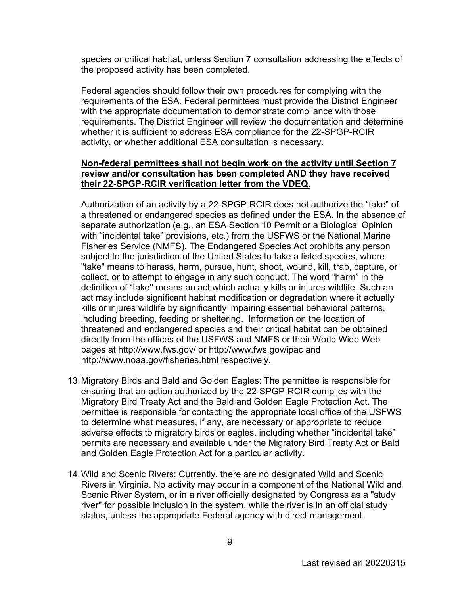species or critical habitat, unless Section 7 consultation addressing the effects of the proposed activity has been completed.

Federal agencies should follow their own procedures for complying with the requirements of the ESA. Federal permittees must provide the District Engineer with the appropriate documentation to demonstrate compliance with those requirements. The District Engineer will review the documentation and determine whether it is sufficient to address ESA compliance for the 22-SPGP-RCIR activity, or whether additional ESA consultation is necessary.

#### **Non-federal permittees shall not begin work on the activity until Section 7 review and/or consultation has been completed AND they have received their 22-SPGP-RCIR verification letter from the VDEQ.**

Authorization of an activity by a 22-SPGP-RCIR does not authorize the "take" of a threatened or endangered species as defined under the ESA. In the absence of separate authorization (e.g., an ESA Section 10 Permit or a Biological Opinion with "incidental take" provisions, etc.) from the USFWS or the National Marine Fisheries Service (NMFS), The Endangered Species Act prohibits any person subject to the jurisdiction of the United States to take a listed species, where "take" means to harass, harm, pursue, hunt, shoot, wound, kill, trap, capture, or collect, or to attempt to engage in any such conduct. The word "harm" in the definition of "take'' means an act which actually kills or injures wildlife. Such an act may include significant habitat modification or degradation where it actually kills or injures wildlife by significantly impairing essential behavioral patterns, including breeding, feeding or sheltering. Information on the location of threatened and endangered species and their critical habitat can be obtained directly from the offices of the USFWS and NMFS or their World Wide Web pages at http://www.fws.gov/ or<http://www.fws.gov/ipac>and <http://www.noaa.gov/fisheries.html>respectively.

- 13.Migratory Birds and Bald and Golden Eagles: The permittee is responsible for ensuring that an action authorized by the 22-SPGP-RCIR complies with the Migratory Bird Treaty Act and the Bald and Golden Eagle Protection Act. The permittee is responsible for contacting the appropriate local office of the USFWS to determine what measures, if any, are necessary or appropriate to reduce adverse effects to migratory birds or eagles, including whether "incidental take" permits are necessary and available under the Migratory Bird Treaty Act or Bald and Golden Eagle Protection Act for a particular activity.
- 14.Wild and Scenic Rivers: Currently, there are no designated Wild and Scenic Rivers in Virginia. No activity may occur in a component of the National Wild and Scenic River System, or in a river officially designated by Congress as a "study river" for possible inclusion in the system, while the river is in an official study status, unless the appropriate Federal agency with direct management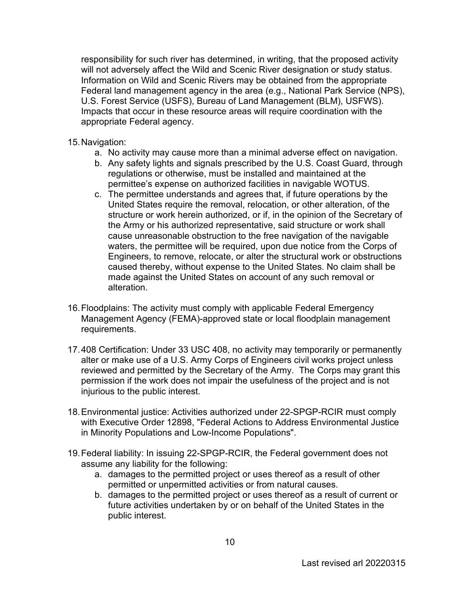responsibility for such river has determined, in writing, that the proposed activity will not adversely affect the Wild and Scenic River designation or study status. Information on Wild and Scenic Rivers may be obtained from the appropriate Federal land management agency in the area (e.g., National Park Service (NPS), U.S. Forest Service (USFS), Bureau of Land Management (BLM), USFWS). Impacts that occur in these resource areas will require coordination with the appropriate Federal agency.

#### 15.Navigation:

- a. No activity may cause more than a minimal adverse effect on navigation.
- b. Any safety lights and signals prescribed by the U.S. Coast Guard, through regulations or otherwise, must be installed and maintained at the permittee's expense on authorized facilities in navigable WOTUS.
- c. The permittee understands and agrees that, if future operations by the United States require the removal, relocation, or other alteration, of the structure or work herein authorized, or if, in the opinion of the Secretary of the Army or his authorized representative, said structure or work shall cause unreasonable obstruction to the free navigation of the navigable waters, the permittee will be required, upon due notice from the Corps of Engineers, to remove, relocate, or alter the structural work or obstructions caused thereby, without expense to the United States. No claim shall be made against the United States on account of any such removal or alteration.
- 16.Floodplains: The activity must comply with applicable Federal Emergency Management Agency (FEMA)-approved state or local floodplain management requirements.
- 17.408 Certification: Under 33 USC 408, no activity may temporarily or permanently alter or make use of a U.S. Army Corps of Engineers civil works project unless reviewed and permitted by the Secretary of the Army. The Corps may grant this permission if the work does not impair the usefulness of the project and is not injurious to the public interest.
- 18.Environmental justice: Activities authorized under 22-SPGP-RCIR must comply with Executive Order 12898, "Federal Actions to Address Environmental Justice in Minority Populations and Low-Income Populations".
- 19.Federal liability: In issuing 22-SPGP-RCIR, the Federal government does not assume any liability for the following:
	- a. damages to the permitted project or uses thereof as a result of other permitted or unpermitted activities or from natural causes.
	- b. damages to the permitted project or uses thereof as a result of current or future activities undertaken by or on behalf of the United States in the public interest.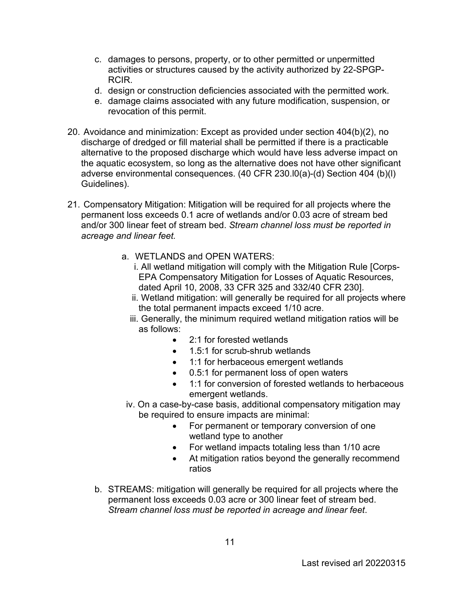- c. damages to persons, property, or to other permitted or unpermitted activities or structures caused by the activity authorized by 22-SPGP-RCIR.
- d. design or construction deficiencies associated with the permitted work.
- e. damage claims associated with any future modification, suspension, or revocation of this permit.
- 20. Avoidance and minimization: Except as provided under section 404(b)(2), no discharge of dredged or fill material shall be permitted if there is a practicable alternative to the proposed discharge which would have less adverse impact on the aquatic ecosystem, so long as the alternative does not have other significant adverse environmental consequences. (40 CFR 230.l0(a)-(d) Section 404 (b)(l) Guidelines).
- 21. Compensatory Mitigation: Mitigation will be required for all projects where the permanent loss exceeds 0.1 acre of wetlands and/or 0.03 acre of stream bed and/or 300 linear feet of stream bed. *Stream channel loss must be reported in acreage and linear feet.* 
	- a. WETLANDS and OPEN WATERS:
		- i. All wetland mitigation will comply with the Mitigation Rule [Corps-EPA Compensatory Mitigation for Losses of Aquatic Resources, dated April 10, 2008, 33 CFR 325 and 332/40 CFR 230].
		- ii. Wetland mitigation: will generally be required for all projects where the total permanent impacts exceed 1/10 acre.
		- iii. Generally, the minimum required wetland mitigation ratios will be as follows:
			- 2:1 for forested wetlands
			- 1.5:1 for scrub-shrub wetlands
			- 1:1 for herbaceous emergent wetlands
			- 0.5:1 for permanent loss of open waters
			- 1:1 for conversion of forested wetlands to herbaceous emergent wetlands.
	- iv. On a case-by-case basis, additional compensatory mitigation may be required to ensure impacts are minimal:
		- For permanent or temporary conversion of one wetland type to another
		- For wetland impacts totaling less than 1/10 acre
		- At mitigation ratios beyond the generally recommend ratios
	- b. STREAMS: mitigation will generally be required for all projects where the permanent loss exceeds 0.03 acre or 300 linear feet of stream bed. *Stream channel loss must be reported in acreage and linear feet*.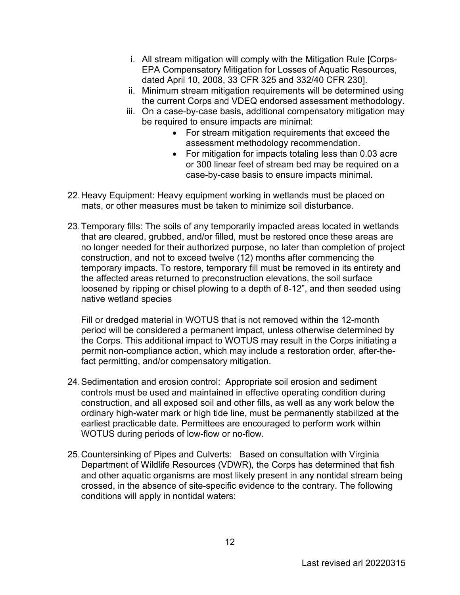- i. All stream mitigation will comply with the Mitigation Rule [Corps-EPA Compensatory Mitigation for Losses of Aquatic Resources, dated April 10, 2008, 33 CFR 325 and 332/40 CFR 230].
- ii. Minimum stream mitigation requirements will be determined using the current Corps and VDEQ endorsed assessment methodology.
- iii. On a case-by-case basis, additional compensatory mitigation may be required to ensure impacts are minimal:
	- For stream mitigation requirements that exceed the assessment methodology recommendation.
	- For mitigation for impacts totaling less than 0.03 acre or 300 linear feet of stream bed may be required on a case-by-case basis to ensure impacts minimal.
- 22.Heavy Equipment: Heavy equipment working in wetlands must be placed on mats, or other measures must be taken to minimize soil disturbance.
- 23.Temporary fills: The soils of any temporarily impacted areas located in wetlands that are cleared, grubbed, and/or filled, must be restored once these areas are no longer needed for their authorized purpose, no later than completion of project construction, and not to exceed twelve (12) months after commencing the temporary impacts. To restore, temporary fill must be removed in its entirety and the affected areas returned to preconstruction elevations, the soil surface loosened by ripping or chisel plowing to a depth of 8-12", and then seeded using native wetland species

Fill or dredged material in WOTUS that is not removed within the 12-month period will be considered a permanent impact, unless otherwise determined by the Corps. This additional impact to WOTUS may result in the Corps initiating a permit non-compliance action, which may include a restoration order, after-thefact permitting, and/or compensatory mitigation.

- 24.Sedimentation and erosion control: Appropriate soil erosion and sediment controls must be used and maintained in effective operating condition during construction, and all exposed soil and other fills, as well as any work below the ordinary high-water mark or high tide line, must be permanently stabilized at the earliest practicable date. Permittees are encouraged to perform work within WOTUS during periods of low-flow or no-flow.
- 25.Countersinking of Pipes and Culverts: Based on consultation with Virginia Department of Wildlife Resources (VDWR), the Corps has determined that fish and other aquatic organisms are most likely present in any nontidal stream being crossed, in the absence of site-specific evidence to the contrary. The following conditions will apply in nontidal waters: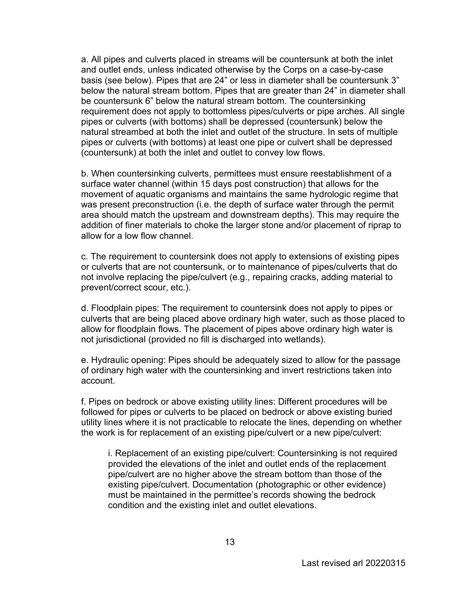a. All pipes and culverts placed in streams will be countersunk at both the inlet and outlet ends, unless indicated otherwise by the Corps on a case-by-case basis (see below). Pipes that are 24" or less in diameter shall be countersunk 3" below the natural stream bottom. Pipes that are greater than 24" in diameter shall be countersunk 6" below the natural stream bottom. The countersinking requirement does not apply to bottomless pipes/culverts or pipe arches. All single pipes or culverts (with bottoms) shall be depressed (countersunk) below the natural streambed at both the inlet and outlet of the structure. In sets of multiple pipes or culverts (with bottoms) at least one pipe or culvert shall be depressed (countersunk) at both the inlet and outlet to convey low flows.

b. When countersinking culverts, permittees must ensure reestablishment of a surface water channel (within 15 days post construction) that allows for the movement of aquatic organisms and maintains the same hydrologic regime that was present preconstruction (i.e. the depth of surface water through the permit area should match the upstream and downstream depths). This may require the addition of finer materials to choke the larger stone and/or placement of riprap to allow for a low flow channel.

c. The requirement to countersink does not apply to extensions of existing pipes or culverts that are not countersunk, or to maintenance of pipes/culverts that do not involve replacing the pipe/culvert (e.g., repairing cracks, adding material to prevent/correct scour, etc.).

d. Floodplain pipes: The requirement to countersink does not apply to pipes or culverts that are being placed above ordinary high water, such as those placed to allow for floodplain flows. The placement of pipes above ordinary high water is not jurisdictional (provided no fill is discharged into wetlands).

e. Hydraulic opening: Pipes should be adequately sized to allow for the passage of ordinary high water with the countersinking and invert restrictions taken into account.

f. Pipes on bedrock or above existing utility lines: Different procedures will be followed for pipes or culverts to be placed on bedrock or above existing buried utility lines where it is not practicable to relocate the lines, depending on whether the work is for replacement of an existing pipe/culvert or a new pipe/culvert:

i. Replacement of an existing pipe/culvert: Countersinking is not required provided the elevations of the inlet and outlet ends of the replacement pipe/culvert are no higher above the stream bottom than those of the existing pipe/culvert. Documentation (photographic or other evidence) must be maintained in the permittee's records showing the bedrock condition and the existing inlet and outlet elevations.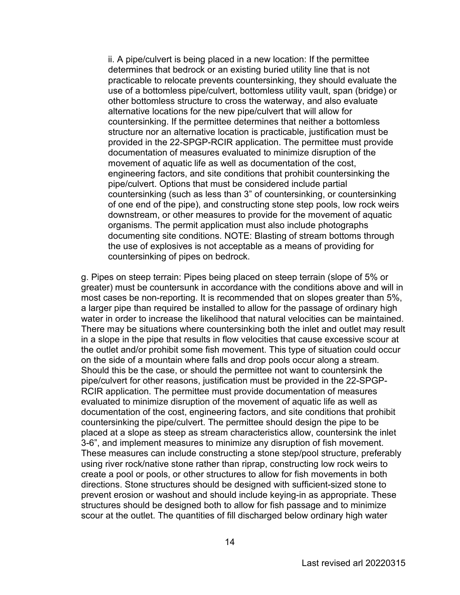ii. A pipe/culvert is being placed in a new location: If the permittee determines that bedrock or an existing buried utility line that is not practicable to relocate prevents countersinking, they should evaluate the use of a bottomless pipe/culvert, bottomless utility vault, span (bridge) or other bottomless structure to cross the waterway, and also evaluate alternative locations for the new pipe/culvert that will allow for countersinking. If the permittee determines that neither a bottomless structure nor an alternative location is practicable, justification must be provided in the 22-SPGP-RCIR application. The permittee must provide documentation of measures evaluated to minimize disruption of the movement of aquatic life as well as documentation of the cost, engineering factors, and site conditions that prohibit countersinking the pipe/culvert. Options that must be considered include partial countersinking (such as less than 3" of countersinking, or countersinking of one end of the pipe), and constructing stone step pools, low rock weirs downstream, or other measures to provide for the movement of aquatic organisms. The permit application must also include photographs documenting site conditions. NOTE: Blasting of stream bottoms through the use of explosives is not acceptable as a means of providing for countersinking of pipes on bedrock.

g. Pipes on steep terrain: Pipes being placed on steep terrain (slope of 5% or greater) must be countersunk in accordance with the conditions above and will in most cases be non-reporting. It is recommended that on slopes greater than 5%, a larger pipe than required be installed to allow for the passage of ordinary high water in order to increase the likelihood that natural velocities can be maintained. There may be situations where countersinking both the inlet and outlet may result in a slope in the pipe that results in flow velocities that cause excessive scour at the outlet and/or prohibit some fish movement. This type of situation could occur on the side of a mountain where falls and drop pools occur along a stream. Should this be the case, or should the permittee not want to countersink the pipe/culvert for other reasons, justification must be provided in the 22-SPGP-RCIR application. The permittee must provide documentation of measures evaluated to minimize disruption of the movement of aquatic life as well as documentation of the cost, engineering factors, and site conditions that prohibit countersinking the pipe/culvert. The permittee should design the pipe to be placed at a slope as steep as stream characteristics allow, countersink the inlet 3-6", and implement measures to minimize any disruption of fish movement. These measures can include constructing a stone step/pool structure, preferably using river rock/native stone rather than riprap, constructing low rock weirs to create a pool or pools, or other structures to allow for fish movements in both directions. Stone structures should be designed with sufficient-sized stone to prevent erosion or washout and should include keying-in as appropriate. These structures should be designed both to allow for fish passage and to minimize scour at the outlet. The quantities of fill discharged below ordinary high water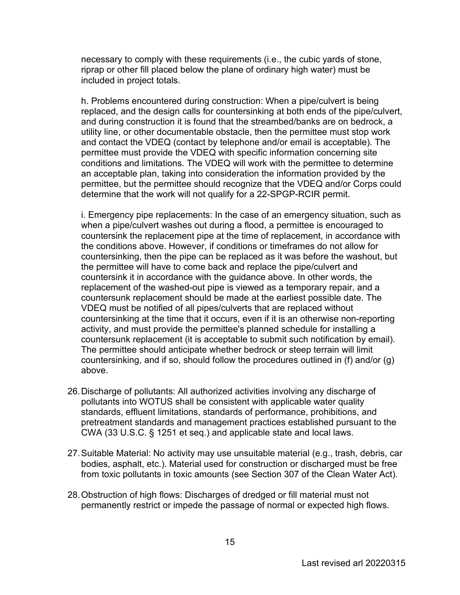necessary to comply with these requirements (i.e., the cubic yards of stone, riprap or other fill placed below the plane of ordinary high water) must be included in project totals.

h. Problems encountered during construction: When a pipe/culvert is being replaced, and the design calls for countersinking at both ends of the pipe/culvert, and during construction it is found that the streambed/banks are on bedrock, a utility line, or other documentable obstacle, then the permittee must stop work and contact the VDEQ (contact by telephone and/or email is acceptable). The permittee must provide the VDEQ with specific information concerning site conditions and limitations. The VDEQ will work with the permittee to determine an acceptable plan, taking into consideration the information provided by the permittee, but the permittee should recognize that the VDEQ and/or Corps could determine that the work will not qualify for a 22-SPGP-RCIR permit.

i. Emergency pipe replacements: In the case of an emergency situation, such as when a pipe/culvert washes out during a flood, a permittee is encouraged to countersink the replacement pipe at the time of replacement, in accordance with the conditions above. However, if conditions or timeframes do not allow for countersinking, then the pipe can be replaced as it was before the washout, but the permittee will have to come back and replace the pipe/culvert and countersink it in accordance with the guidance above. In other words, the replacement of the washed-out pipe is viewed as a temporary repair, and a countersunk replacement should be made at the earliest possible date. The VDEQ must be notified of all pipes/culverts that are replaced without countersinking at the time that it occurs, even if it is an otherwise non-reporting activity, and must provide the permittee's planned schedule for installing a countersunk replacement (it is acceptable to submit such notification by email). The permittee should anticipate whether bedrock or steep terrain will limit countersinking, and if so, should follow the procedures outlined in (f) and/or (g) above.

- 26.Discharge of pollutants: All authorized activities involving any discharge of pollutants into WOTUS shall be consistent with applicable water quality standards, effluent limitations, standards of performance, prohibitions, and pretreatment standards and management practices established pursuant to the CWA (33 U.S.C. § 1251 et seq.) and applicable state and local laws.
- 27.Suitable Material: No activity may use unsuitable material (e.g., trash, debris, car bodies, asphalt, etc.). Material used for construction or discharged must be free from toxic pollutants in toxic amounts (see Section 307 of the Clean Water Act).
- 28.Obstruction of high flows: Discharges of dredged or fill material must not permanently restrict or impede the passage of normal or expected high flows.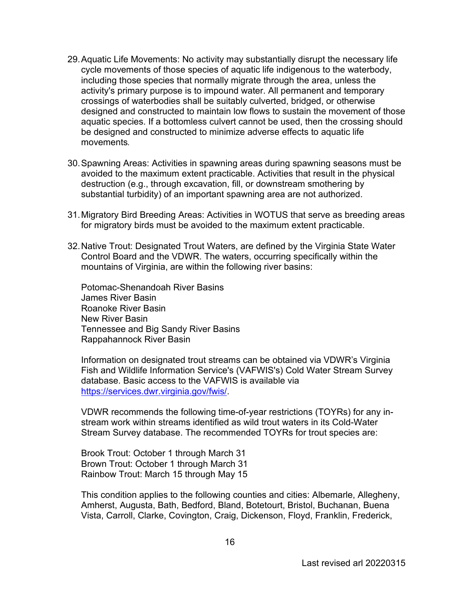- 29.Aquatic Life Movements: No activity may substantially disrupt the necessary life cycle movements of those species of aquatic life indigenous to the waterbody, including those species that normally migrate through the area, unless the activity's primary purpose is to impound water. All permanent and temporary crossings of waterbodies shall be suitably culverted, bridged, or otherwise designed and constructed to maintain low flows to sustain the movement of those aquatic species. If a bottomless culvert cannot be used, then the crossing should be designed and constructed to minimize adverse effects to aquatic life movements**.**
- 30.Spawning Areas: Activities in spawning areas during spawning seasons must be avoided to the maximum extent practicable. Activities that result in the physical destruction (e.g., through excavation, fill, or downstream smothering by substantial turbidity) of an important spawning area are not authorized.
- 31.Migratory Bird Breeding Areas: Activities in WOTUS that serve as breeding areas for migratory birds must be avoided to the maximum extent practicable.
- 32.Native Trout: Designated Trout Waters, are defined by the Virginia State Water Control Board and the VDWR. The waters, occurring specifically within the mountains of Virginia, are within the following river basins:

Potomac-Shenandoah River Basins James River Basin Roanoke River Basin New River Basin Tennessee and Big Sandy River Basins Rappahannock River Basin

Information on designated trout streams can be obtained via VDWR's Virginia Fish and Wildlife Information Service's (VAFWIS's) Cold Water Stream Survey database. Basic access to the VAFWIS is available via [https://services.dwr.virginia.gov/fwis/.](https://services.dwr.virginia.gov/fwis/)

VDWR recommends the following time-of-year restrictions (TOYRs) for any instream work within streams identified as wild trout waters in its Cold-Water Stream Survey database. The recommended TOYRs for trout species are:

Brook Trout: October 1 through March 31 Brown Trout: October 1 through March 31 Rainbow Trout: March 15 through May 15

This condition applies to the following counties and cities: Albemarle, Allegheny, Amherst, Augusta, Bath, Bedford, Bland, Botetourt, Bristol, Buchanan, Buena Vista, Carroll, Clarke, Covington, Craig, Dickenson, Floyd, Franklin, Frederick,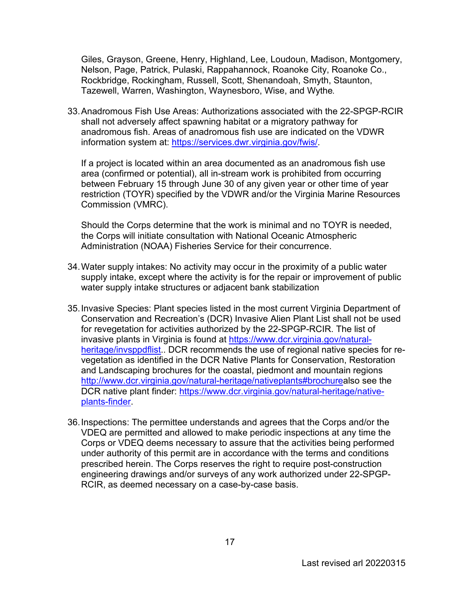Giles, Grayson, Greene, Henry, Highland, Lee, Loudoun, Madison, Montgomery, Nelson, Page, Patrick, Pulaski, Rappahannock, Roanoke City, Roanoke Co., Rockbridge, Rockingham, Russell, Scott, Shenandoah, Smyth, Staunton, Tazewell, Warren, Washington, Waynesboro, Wise, and Wythe**.** 

33.Anadromous Fish Use Areas: Authorizations associated with the 22-SPGP-RCIR shall not adversely affect spawning habitat or a migratory pathway for anadromous fish. Areas of anadromous fish use are indicated on the VDWR information system at: [https://services.dwr.virginia.gov/fwis/.](https://services.dwr.virginia.gov/fwis/)

If a project is located within an area documented as an anadromous fish use area (confirmed or potential), all in-stream work is prohibited from occurring between February 15 through June 30 of any given year or other time of year restriction (TOYR) specified by the VDWR and/or the Virginia Marine Resources Commission (VMRC).

Should the Corps determine that the work is minimal and no TOYR is needed, the Corps will initiate consultation with National Oceanic Atmospheric Administration (NOAA) Fisheries Service for their concurrence.

- 34.Water supply intakes: No activity may occur in the proximity of a public water supply intake, except where the activity is for the repair or improvement of public water supply intake structures or adjacent bank stabilization
- 35.Invasive Species: Plant species listed in the most current Virginia Department of Conservation and Recreation's (DCR) Invasive Alien Plant List shall not be used for revegetation for activities authorized by the 22-SPGP-RCIR. The list of invasive plants in Virginia is found at [https://www.dcr.virginia.gov/natural](https://www.dcr.virginia.gov/natural-heritage/invsppdflist)[heritage/invsppdflist.](https://www.dcr.virginia.gov/natural-heritage/invsppdflist). DCR recommends the use of regional native species for revegetation as identified in the DCR Native Plants for Conservation, Restoration and Landscaping brochures for the coastal, piedmont and mountain regions [http://www.dcr.virginia.gov/natural-heritage/nativeplants#brochurea](https://www.dcr.virginia.gov/natural-heritage/nativeplants#brochure)lso see the DCR native plant finder: [https://www.dcr.virginia.gov/natural-heritage/native](https://www.dcr.virginia.gov/natural-heritage/native-plants-finder)[plants-finder.](https://www.dcr.virginia.gov/natural-heritage/native-plants-finder)
- 36.Inspections: The permittee understands and agrees that the Corps and/or the VDEQ are permitted and allowed to make periodic inspections at any time the Corps or VDEQ deems necessary to assure that the activities being performed under authority of this permit are in accordance with the terms and conditions prescribed herein. The Corps reserves the right to require post-construction engineering drawings and/or surveys of any work authorized under 22-SPGP-RCIR, as deemed necessary on a case-by-case basis.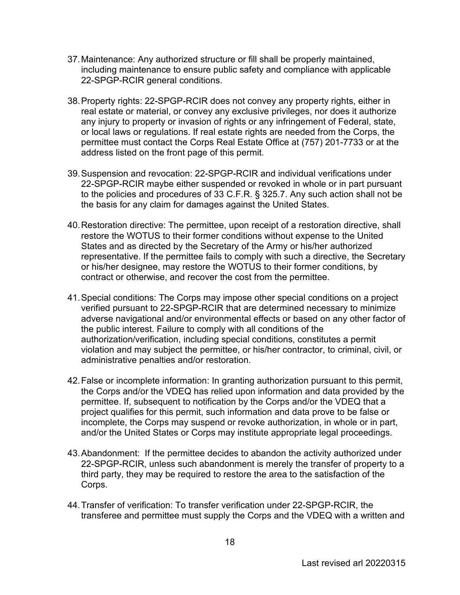- 37.Maintenance: Any authorized structure or fill shall be properly maintained, including maintenance to ensure public safety and compliance with applicable 22-SPGP-RCIR general conditions.
- 38.Property rights: 22-SPGP-RCIR does not convey any property rights, either in real estate or material, or convey any exclusive privileges, nor does it authorize any injury to property or invasion of rights or any infringement of Federal, state, or local laws or regulations. If real estate rights are needed from the Corps, the permittee must contact the Corps Real Estate Office at (757) 201-7733 or at the address listed on the front page of this permit.
- 39.Suspension and revocation: 22-SPGP-RCIR and individual verifications under 22-SPGP-RCIR maybe either suspended or revoked in whole or in part pursuant to the policies and procedures of 33 C.F.R. § 325.7. Any such action shall not be the basis for any claim for damages against the United States.
- 40.Restoration directive: The permittee, upon receipt of a restoration directive, shall restore the WOTUS to their former conditions without expense to the United States and as directed by the Secretary of the Army or his/her authorized representative. If the permittee fails to comply with such a directive, the Secretary or his/her designee, may restore the WOTUS to their former conditions, by contract or otherwise, and recover the cost from the permittee.
- 41.Special conditions: The Corps may impose other special conditions on a project verified pursuant to 22-SPGP-RCIR that are determined necessary to minimize adverse navigational and/or environmental effects or based on any other factor of the public interest. Failure to comply with all conditions of the authorization/verification, including special conditions, constitutes a permit violation and may subject the permittee, or his/her contractor, to criminal, civil, or administrative penalties and/or restoration.
- 42.False or incomplete information: In granting authorization pursuant to this permit, the Corps and/or the VDEQ has relied upon information and data provided by the permittee. If, subsequent to notification by the Corps and/or the VDEQ that a project qualifies for this permit, such information and data prove to be false or incomplete, the Corps may suspend or revoke authorization, in whole or in part, and/or the United States or Corps may institute appropriate legal proceedings.
- 43.Abandonment: If the permittee decides to abandon the activity authorized under 22-SPGP-RCIR, unless such abandonment is merely the transfer of property to a third party, they may be required to restore the area to the satisfaction of the Corps.
- 44.Transfer of verification: To transfer verification under 22-SPGP-RCIR, the transferee and permittee must supply the Corps and the VDEQ with a written and